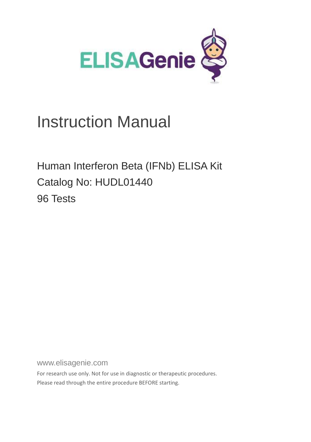

# Instruction Manual

Human Interferon Beta (IFNb) ELISA Kit Catalog No: HUDL01440 96 Tests

www.elisagenie.com

For research use only. Not for use in diagnostic or therapeutic procedures. Please read through the entire procedure BEFORE starting.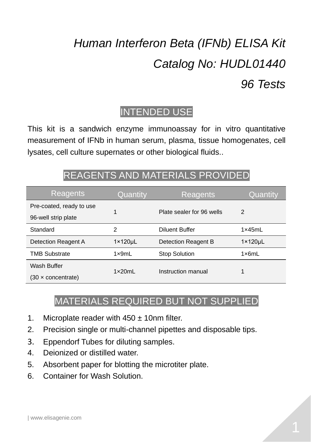# *Human Interferon Beta (IFNb) ELISA Kit Catalog No: HUDL01440 96 Tests*

## INTENDED USE

This kit is a sandwich enzyme immunoassay for in vitro quantitative measurement of IFNb in human serum, plasma, tissue homogenates, cell lysates, cell culture supernates or other biological fluids..

# REAGENTS AND MATERIALS PROVIDED

| Reagents                         | Quantity             | Reagents                  | Quantity             |
|----------------------------------|----------------------|---------------------------|----------------------|
| Pre-coated, ready to use         |                      | Plate sealer for 96 wells | 2                    |
| 96-well strip plate              |                      |                           |                      |
| Standard                         | 2                    | <b>Diluent Buffer</b>     | 1x45mL               |
| Detection Reagent A              | $1 \times 120 \mu L$ | Detection Reagent B       | $1 \times 120 \mu L$ |
| <b>TMB Substrate</b>             | $1 \times 9mL$       | <b>Stop Solution</b>      | 1x6mL                |
| Wash Buffer                      | 1x20ml               | Instruction manual        |                      |
| $(30 \times \text{concentrate})$ |                      |                           |                      |

## MATERIALS REQUIRED BUT NOT SUPPLIED

- 1. Microplate reader with  $450 \pm 10$ nm filter.
- 2. Precision single or multi-channel pipettes and disposable tips.
- 3. Eppendorf Tubes for diluting samples.
- 4. Deionized or distilled water.
- 5. Absorbent paper for blotting the microtiter plate.
- 6. Container for Wash Solution.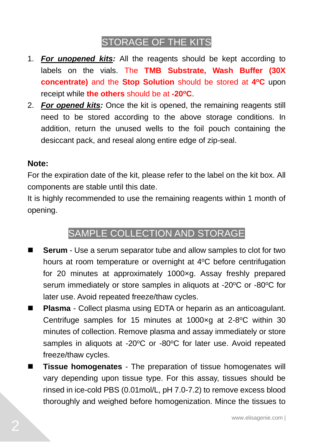## STORAGE OF THE KITS

- 1. *For unopened kits:* All the reagents should be kept according to labels on the vials. The **TMB Substrate, Wash Buffer (30X concentrate)** and the **Stop Solution** should be stored at 4°C upon receipt while **the others** should be at **-20<sup>o</sup>C**.
- 2. *For opened kits:* Once the kit is opened, the remaining reagents still need to be stored according to the above storage conditions. In addition, return the unused wells to the foil pouch containing the desiccant pack, and reseal along entire edge of zip-seal.

#### **Note:**

For the expiration date of the kit, please refer to the label on the kit box. All components are stable until this date.

It is highly recommended to use the remaining reagents within 1 month of opening.

### SAMPLE COLLECTION AND STORAGE

- **Serum** Use a serum separator tube and allow samples to clot for two hours at room temperature or overnight at  $4^{\circ}$ C before centrifugation for 20 minutes at approximately 1000×g. Assay freshly prepared serum immediately or store samples in aliquots at -20°C or -80°C for later use. Avoid repeated freeze/thaw cycles.
- **Plasma** Collect plasma using EDTA or heparin as an anticoagulant. Centrifuge samples for 15 minutes at 1000xg at 2-8°C within 30 minutes of collection. Remove plasma and assay immediately or store samples in aliquots at -20 $\degree$ C or -80 $\degree$ C for later use. Avoid repeated freeze/thaw cycles.
- **Tissue homogenates** The preparation of tissue homogenates will vary depending upon tissue type. For this assay, tissues should be rinsed in ice-cold PBS (0.01mol/L, pH 7.0-7.2) to remove excess blood thoroughly and weighed before homogenization. Mince the tissues to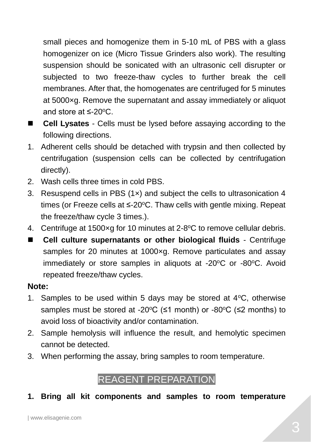small pieces and homogenize them in 5-10 mL of PBS with a glass homogenizer on ice (Micro Tissue Grinders also work). The resulting suspension should be sonicated with an ultrasonic cell disrupter or subjected to two freeze-thaw cycles to further break the cell membranes. After that, the homogenates are centrifuged for 5 minutes at 5000×g. Remove the supernatant and assay immediately or aliquot and store at  $\leq$ -20 $\degree$ C.

- **Cell Lysates** Cells must be lysed before assaying according to the following directions.
- 1. Adherent cells should be detached with trypsin and then collected by centrifugation (suspension cells can be collected by centrifugation directly).
- 2. Wash cells three times in cold PBS.
- 3. Resuspend cells in PBS (1×) and subject the cells to ultrasonication 4 times (or Freeze cells at  $\leq$ -20 $\degree$ C. Thaw cells with gentle mixing. Repeat the freeze/thaw cycle 3 times.).
- 4. Centrifuge at 1500xg for 10 minutes at 2-8°C to remove cellular debris.
- Cell culture supernatants or other biological fluids Centrifuge samples for 20 minutes at 1000xg. Remove particulates and assay immediately or store samples in aliquots at -20°C or -80°C. Avoid repeated freeze/thaw cycles.

#### **Note:**

- 1. Samples to be used within 5 days may be stored at  $4^{\circ}$ C, otherwise samples must be stored at -20 $\degree$ C (≤1 month) or -80 $\degree$ C (≤2 months) to avoid loss of bioactivity and/or contamination.
- 2. Sample hemolysis will influence the result, and hemolytic specimen cannot be detected.
- 3. When performing the assay, bring samples to room temperature.

## REAGENT PREPARATION

#### **1. Bring all kit components and samples to room temperature**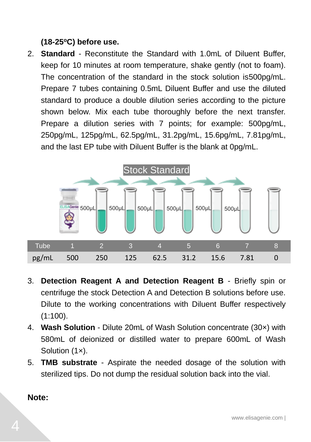#### **(18-25<sup>o</sup>C) before use.**

2. **Standard** - Reconstitute the Standard with 1.0mL of Diluent Buffer, keep for 10 minutes at room temperature, shake gently (not to foam). The concentration of the standard in the stock solution is500pg/mL. Prepare 7 tubes containing 0.5mL Diluent Buffer and use the diluted standard to produce a double dilution series according to the picture shown below. Mix each tube thoroughly before the next transfer. Prepare a dilution series with 7 points; for example: 500pg/mL, 250pg/mL, 125pg/mL, 62.5pg/mL, 31.2pg/mL, 15.6pg/mL, 7.81pg/mL, and the last EP tube with Diluent Buffer is the blank at 0pg/mL.



- 3. **Detection Reagent A and Detection Reagent B** Briefly spin or centrifuge the stock Detection A and Detection B solutions before use. Dilute to the working concentrations with Diluent Buffer respectively  $(1:100)$ .
- 4. **Wash Solution** Dilute 20mL of Wash Solution concentrate (30×) with 580mL of deionized or distilled water to prepare 600mL of Wash Solution (1x).
- 5. **TMB substrate** Aspirate the needed dosage of the solution with sterilized tips. Do not dump the residual solution back into the vial.

**Note:**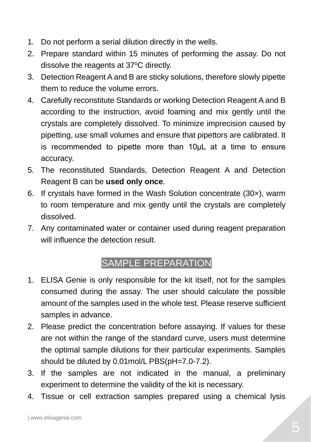- 1. Do not perform a serial dilution directly in the wells.
- 2. Prepare standard within 15 minutes of performing the assay. Do not dissolve the reagents at 37°C directly.
- 3. Detection Reagent A and B are sticky solutions, therefore slowly pipette them to reduce the volume errors.
- 4. Carefully reconstitute Standards or working Detection Reagent A and B according to the instruction, avoid foaming and mix gently until the crystals are completely dissolved. To minimize imprecision caused by pipetting, use small volumes and ensure that pipettors are calibrated. It is recommended to pipette more than 10μL at a time to ensure accuracy.
- 5. The reconstituted Standards, Detection Reagent A and Detection Reagent B can be **used only once**.
- 6. If crystals have formed in the Wash Solution concentrate (30×), warm to room temperature and mix gently until the crystals are completely dissolved.
- 7. Any contaminated water or container used during reagent preparation will influence the detection result.

# SAMPLE PREPARATION

- 1. ELISA Genie is only responsible for the kit itself, not for the samples consumed during the assay. The user should calculate the possible amount of the samples used in the whole test. Please reserve sufficient samples in advance.
- 2. Please predict the concentration before assaying. If values for these are not within the range of the standard curve, users must determine the optimal sample dilutions for their particular experiments. Samples should be diluted by 0.01mol/L PBS(pH=7.0-7.2).
- 3. If the samples are not indicated in the manual, a preliminary experiment to determine the validity of the kit is necessary.
- 4. Tissue or cell extraction samples prepared using a chemical lysis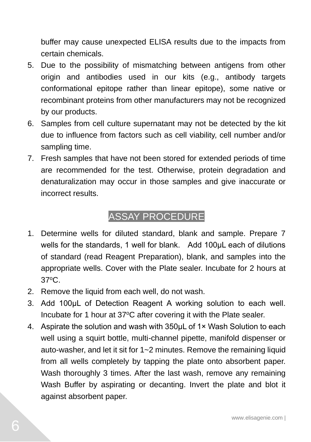buffer may cause unexpected ELISA results due to the impacts from certain chemicals.

- 5. Due to the possibility of mismatching between antigens from other origin and antibodies used in our kits (e.g., antibody targets conformational epitope rather than linear epitope), some native or recombinant proteins from other manufacturers may not be recognized by our products.
- 6. Samples from cell culture supernatant may not be detected by the kit due to influence from factors such as cell viability, cell number and/or sampling time.
- 7. Fresh samples that have not been stored for extended periods of time are recommended for the test. Otherwise, protein degradation and denaturalization may occur in those samples and give inaccurate or incorrect results.

### ASSAY PROCEDURE

- 1. Determine wells for diluted standard, blank and sample. Prepare 7 wells for the standards, 1 well for blank. Add 100μL each of dilutions of standard (read Reagent Preparation), blank, and samples into the appropriate wells. Cover with the Plate sealer. Incubate for 2 hours at 37<sup>o</sup>C.
- 2. Remove the liquid from each well, do not wash.
- 3. Add 100μL of Detection Reagent A working solution to each well. Incubate for 1 hour at 37°C after covering it with the Plate sealer.
- 4. Aspirate the solution and wash with 350uL of 1× Wash Solution to each well using a squirt bottle, multi-channel pipette, manifold dispenser or auto-washer, and let it sit for 1~2 minutes. Remove the remaining liquid from all wells completely by tapping the plate onto absorbent paper. Wash thoroughly 3 times. After the last wash, remove any remaining Wash Buffer by aspirating or decanting. Invert the plate and blot it against absorbent paper.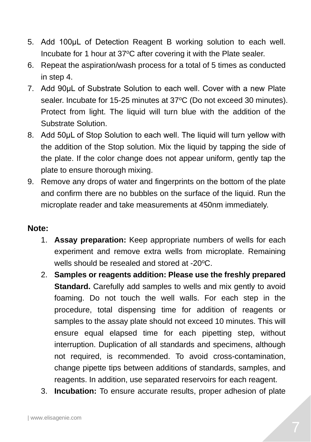- 5. Add 100μL of Detection Reagent B working solution to each well. Incubate for 1 hour at 37°C after covering it with the Plate sealer.
- 6. Repeat the aspiration/wash process for a total of 5 times as conducted in step 4.
- 7. Add 90μL of Substrate Solution to each well. Cover with a new Plate sealer. Incubate for 15-25 minutes at 37°C (Do not exceed 30 minutes). Protect from light. The liquid will turn blue with the addition of the Substrate Solution.
- 8. Add 50μL of Stop Solution to each well. The liquid will turn yellow with the addition of the Stop solution. Mix the liquid by tapping the side of the plate. If the color change does not appear uniform, gently tap the plate to ensure thorough mixing.
- 9. Remove any drops of water and fingerprints on the bottom of the plate and confirm there are no bubbles on the surface of the liquid. Run the microplate reader and take measurements at 450nm immediately.

#### **Note:**

- 1. **Assay preparation:** Keep appropriate numbers of wells for each experiment and remove extra wells from microplate. Remaining wells should be resealed and stored at -20 °C.
- 2. **Samples or reagents addition: Please use the freshly prepared Standard.** Carefully add samples to wells and mix gently to avoid foaming. Do not touch the well walls. For each step in the procedure, total dispensing time for addition of reagents or samples to the assay plate should not exceed 10 minutes. This will ensure equal elapsed time for each pipetting step, without interruption. Duplication of all standards and specimens, although not required, is recommended. To avoid cross-contamination, change pipette tips between additions of standards, samples, and reagents. In addition, use separated reservoirs for each reagent.
- 3. **Incubation:** To ensure accurate results, proper adhesion of plate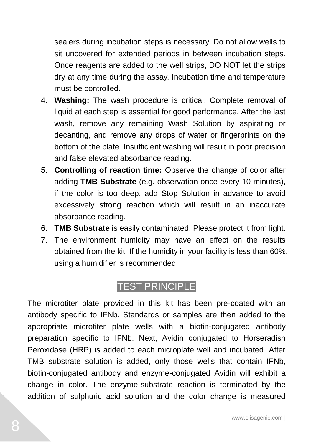sealers during incubation steps is necessary. Do not allow wells to sit uncovered for extended periods in between incubation steps. Once reagents are added to the well strips, DO NOT let the strips dry at any time during the assay. Incubation time and temperature must be controlled.

- 4. **Washing:** The wash procedure is critical. Complete removal of liquid at each step is essential for good performance. After the last wash, remove any remaining Wash Solution by aspirating or decanting, and remove any drops of water or fingerprints on the bottom of the plate. Insufficient washing will result in poor precision and false elevated absorbance reading.
- 5. **Controlling of reaction time:** Observe the change of color after adding **TMB Substrate** (e.g. observation once every 10 minutes), if the color is too deep, add Stop Solution in advance to avoid excessively strong reaction which will result in an inaccurate absorbance reading.
- 6. **TMB Substrate** is easily contaminated. Please protect it from light.
- 7. The environment humidity may have an effect on the results obtained from the kit. If the humidity in your facility is less than 60%, using a humidifier is recommended.

### TEST PRINCIPLE

The microtiter plate provided in this kit has been pre-coated with an antibody specific to IFNb. Standards or samples are then added to the appropriate microtiter plate wells with a biotin-conjugated antibody preparation specific to IFNb. Next, Avidin conjugated to Horseradish Peroxidase (HRP) is added to each microplate well and incubated. After TMB substrate solution is added, only those wells that contain IFNb, biotin-conjugated antibody and enzyme-conjugated Avidin will exhibit a change in color. The enzyme-substrate reaction is terminated by the addition of sulphuric acid solution and the color change is measured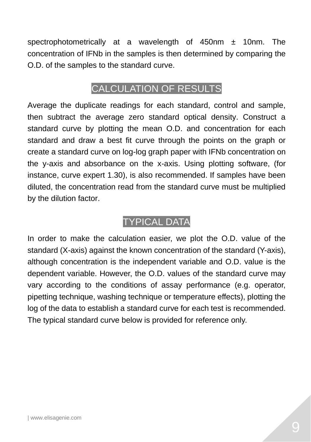spectrophotometrically at a wavelength of 450nm ± 10nm. The concentration of IFNb in the samples is then determined by comparing the O.D. of the samples to the standard curve.

### CALCULATION OF RESULTS

Average the duplicate readings for each standard, control and sample, then subtract the average zero standard optical density. Construct a standard curve by plotting the mean O.D. and concentration for each standard and draw a best fit curve through the points on the graph or create a standard curve on log-log graph paper with IFNb concentration on the y-axis and absorbance on the x-axis. Using plotting software, (for instance, curve expert 1.30), is also recommended. If samples have been diluted, the concentration read from the standard curve must be multiplied by the dilution factor.

### TYPICAL DATA

In order to make the calculation easier, we plot the O.D. value of the standard (X-axis) against the known concentration of the standard (Y-axis), although concentration is the independent variable and O.D. value is the dependent variable. However, the O.D. values of the standard curve may vary according to the conditions of assay performance (e.g. operator, pipetting technique, washing technique or temperature effects), plotting the log of the data to establish a standard curve for each test is recommended. The typical standard curve below is provided for reference only.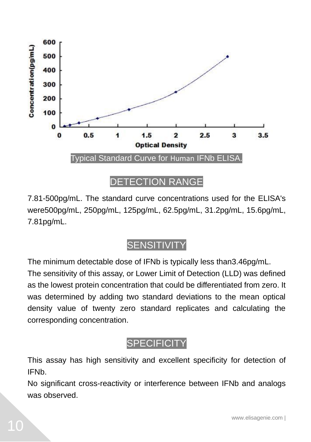

7.81-500pg/mL. The standard curve concentrations used for the ELISA's were500pg/mL, 250pg/mL, 125pg/mL, 62.5pg/mL, 31.2pg/mL, 15.6pg/mL, 7.81pg/mL.

### **SENSITIVITY**

The minimum detectable dose of IFNb is typically less than3.46pg/mL. The sensitivity of this assay, or Lower Limit of Detection (LLD) was defined as the lowest protein concentration that could be differentiated from zero. It was determined by adding two standard deviations to the mean optical density value of twenty zero standard replicates and calculating the corresponding concentration.

## **SPECIFICITY**

This assay has high sensitivity and excellent specificity for detection of IFNb.

No significant cross-reactivity or interference between IFNb and analogs was observed.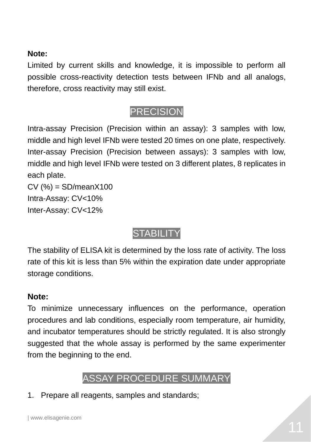#### **Note:**

Limited by current skills and knowledge, it is impossible to perform all possible cross-reactivity detection tests between IFNb and all analogs, therefore, cross reactivity may still exist.

## PRECISION

Intra-assay Precision (Precision within an assay): 3 samples with low, middle and high level IFNb were tested 20 times on one plate, respectively. Inter-assay Precision (Precision between assays): 3 samples with low, middle and high level IFNb were tested on 3 different plates, 8 replicates in each plate.

 $CV(%) = SD/meanX100$ Intra-Assay: CV<10% Inter-Assay: CV<12%

# **STABILITY**

The stability of ELISA kit is determined by the loss rate of activity. The loss rate of this kit is less than 5% within the expiration date under appropriate storage conditions.

#### **Note:**

To minimize unnecessary influences on the performance, operation procedures and lab conditions, especially room temperature, air humidity, and incubator temperatures should be strictly regulated. It is also strongly suggested that the whole assay is performed by the same experimenter from the beginning to the end.

## ASSAY PROCEDURE SUMMARY

1. Prepare all reagents, samples and standards;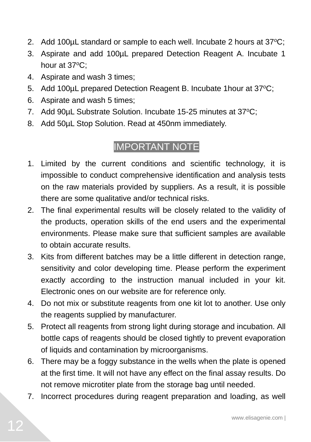- 2. Add 100 $\mu$ L standard or sample to each well. Incubate 2 hours at 37 $\mathrm{°C}$ ;
- 3. Aspirate and add 100µL prepared Detection Reagent A. Incubate 1 hour at  $37^{\circ}$ C:
- 4. Aspirate and wash 3 times;
- 5. Add 100uL prepared Detection Reagent B. Incubate 1 hour at 37 °C;
- 6. Aspirate and wash 5 times;
- 7. Add 90uL Substrate Solution. Incubate 15-25 minutes at 37°C;
- 8. Add 50µL Stop Solution. Read at 450nm immediately.

## IMPORTANT NOTE

- 1. Limited by the current conditions and scientific technology, it is impossible to conduct comprehensive identification and analysis tests on the raw materials provided by suppliers. As a result, it is possible there are some qualitative and/or technical risks.
- 2. The final experimental results will be closely related to the validity of the products, operation skills of the end users and the experimental environments. Please make sure that sufficient samples are available to obtain accurate results.
- 3. Kits from different batches may be a little different in detection range, sensitivity and color developing time. Please perform the experiment exactly according to the instruction manual included in your kit. Electronic ones on our website are for reference only.
- 4. Do not mix or substitute reagents from one kit lot to another. Use only the reagents supplied by manufacturer.
- 5. Protect all reagents from strong light during storage and incubation. All bottle caps of reagents should be closed tightly to prevent evaporation of liquids and contamination by microorganisms.
- 6. There may be a foggy substance in the wells when the plate is opened at the first time. It will not have any effect on the final assay results. Do not remove microtiter plate from the storage bag until needed.
- 7. Incorrect procedures during reagent preparation and loading, as well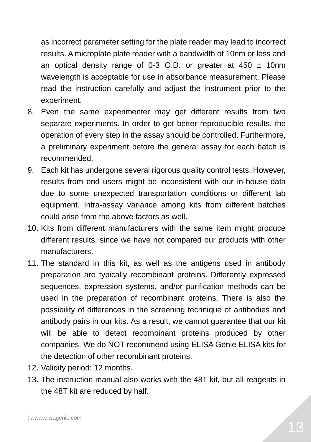as incorrect parameter setting for the plate reader may lead to incorrect results. A microplate plate reader with a bandwidth of 10nm or less and an optical density range of 0-3 O.D. or greater at  $450 \pm 10$ nm wavelength is acceptable for use in absorbance measurement. Please read the instruction carefully and adjust the instrument prior to the experiment.

- 8. Even the same experimenter may get different results from two separate experiments. In order to get better reproducible results, the operation of every step in the assay should be controlled. Furthermore, a preliminary experiment before the general assay for each batch is recommended.
- 9. Each kit has undergone several rigorous quality control tests. However, results from end users might be inconsistent with our in-house data due to some unexpected transportation conditions or different lab equipment. Intra-assay variance among kits from different batches could arise from the above factors as well.
- 10. Kits from different manufacturers with the same item might produce different results, since we have not compared our products with other manufacturers.
- 11. The standard in this kit, as well as the antigens used in antibody preparation are typically recombinant proteins. Differently expressed sequences, expression systems, and/or purification methods can be used in the preparation of recombinant proteins. There is also the possibility of differences in the screening technique of antibodies and antibody pairs in our kits. As a result, we cannot guarantee that our kit will be able to detect recombinant proteins produced by other companies. We do NOT recommend using ELISA Genie ELISA kits for the detection of other recombinant proteins.
- 12. Validity period: 12 months.
- 13. The instruction manual also works with the 48T kit, but all reagents in the 48T kit are reduced by half.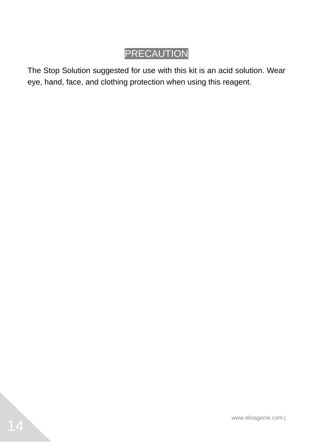# PRECAUTION

The Stop Solution suggested for use with this kit is an acid solution. Wear eye, hand, face, and clothing protection when using this reagent.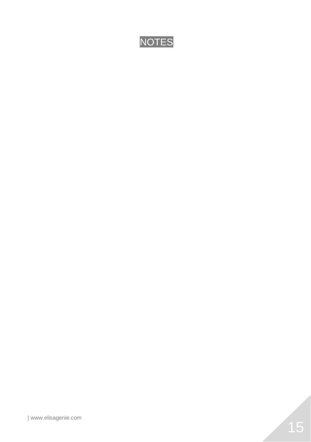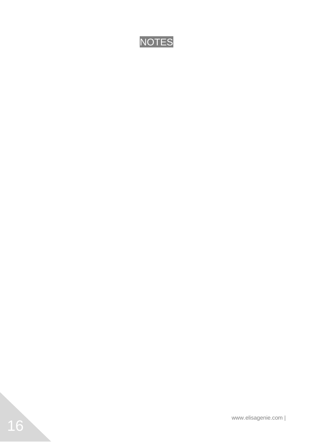

www.elisagenie.com |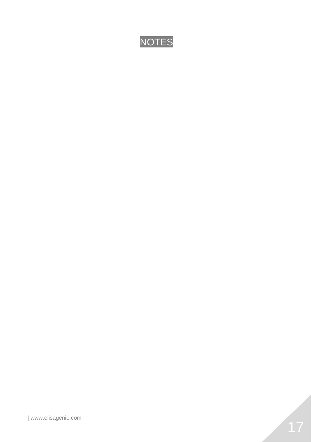